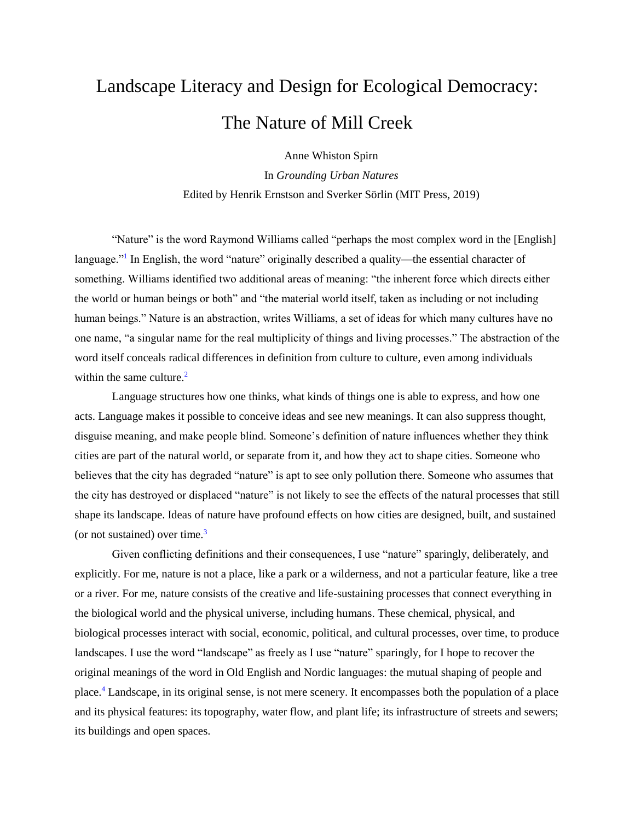# Landscape Literacy and Design for Ecological Democracy: The Nature of Mill Creek

Anne Whiston Spirn

In *Grounding Urban Natures* Edited by Henrik Ernstson and Sverker Sörlin (MIT Press, 2019)

"Nature" is the word Raymond Williams called "perhaps the most complex word in the [English] language."<sup>1</sup> In English, the word "nature" originally described a quality—the essential character of something. Williams identified two additional areas of meaning: "the inherent force which directs either the world or human beings or both" and "the material world itself, taken as including or not including human beings." Nature is an abstraction, writes Williams, a set of ideas for which many cultures have no one name, "a singular name for the real multiplicity of things and living processes." The abstraction of the word itself conceals radical differences in definition from culture to culture, even among individuals within the same culture.<sup>2</sup>

Language structures how one thinks, what kinds of things one is able to express, and how one acts. Language makes it possible to conceive ideas and see new meanings. It can also suppress thought, disguise meaning, and make people blind. Someone's definition of nature influences whether they think cities are part of the natural world, or separate from it, and how they act to shape cities. Someone who believes that the city has degraded "nature" is apt to see only pollution there. Someone who assumes that the city has destroyed or displaced "nature" is not likely to see the effects of the natural processes that still shape its landscape. Ideas of nature have profound effects on how cities are designed, built, and sustained (or not sustained) over time. $3$ 

Given conflicting definitions and their consequences, I use "nature" sparingly, deliberately, and explicitly. For me, nature is not a place, like a park or a wilderness, and not a particular feature, like a tree or a river. For me, nature consists of the creative and life-sustaining processes that connect everything in the biological world and the physical universe, including humans. These chemical, physical, and biological processes interact with social, economic, political, and cultural processes, over time, to produce landscapes. I use the word "landscape" as freely as I use "nature" sparingly, for I hope to recover the original meanings of the word in Old English and Nordic languages: the mutual shaping of people and place.<sup>4</sup> Landscape, in its original sense, is not mere scenery. It encompasses both the population of a place and its physical features: its topography, water flow, and plant life; its infrastructure of streets and sewers; its buildings and open spaces.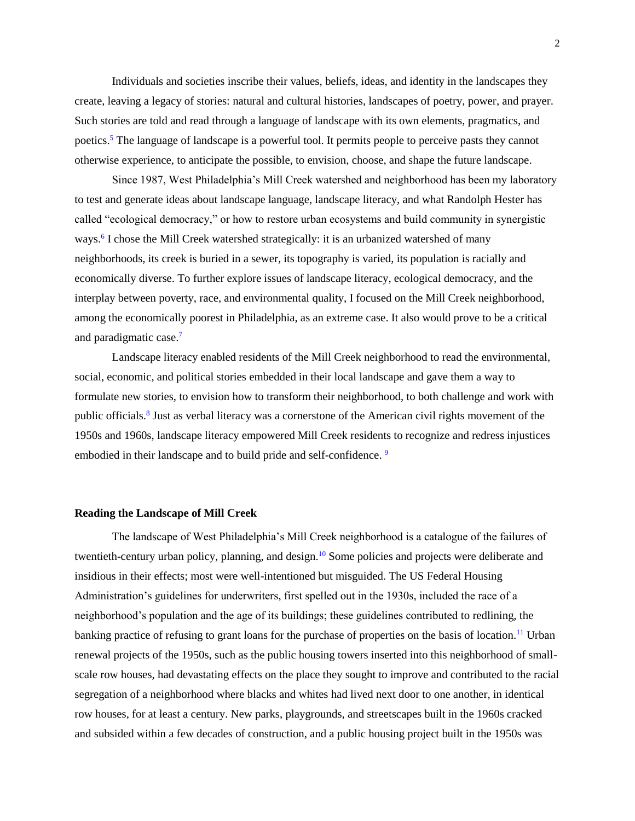Individuals and societies inscribe their values, beliefs, ideas, and identity in the landscapes they create, leaving a legacy of stories: natural and cultural histories, landscapes of poetry, power, and prayer. Such stories are told and read through a language of landscape with its own elements, pragmatics, and poetics.<sup>5</sup> The language of landscape is a powerful tool. It permits people to perceive pasts they cannot otherwise experience, to anticipate the possible, to envision, choose, and shape the future landscape.

Since 1987, West Philadelphia's Mill Creek watershed and neighborhood has been my laboratory to test and generate ideas about landscape language, landscape literacy, and what Randolph Hester has called "ecological democracy," or how to restore urban ecosystems and build community in synergistic ways.<sup>6</sup> I chose the Mill Creek watershed strategically: it is an urbanized watershed of many neighborhoods, its creek is buried in a sewer, its topography is varied, its population is racially and economically diverse. To further explore issues of landscape literacy, ecological democracy, and the interplay between poverty, race, and environmental quality, I focused on the Mill Creek neighborhood, among the economically poorest in Philadelphia, as an extreme case. It also would prove to be a critical and paradigmatic case.<sup>7</sup>

Landscape literacy enabled residents of the Mill Creek neighborhood to read the environmental, social, economic, and political stories embedded in their local landscape and gave them a way to formulate new stories, to envision how to transform their neighborhood, to both challenge and work with public officials.<sup>8</sup> Just as verbal literacy was a cornerstone of the American civil rights movement of the 1950s and 1960s, landscape literacy empowered Mill Creek residents to recognize and redress injustices embodied in their landscape and to build pride and self-confidence.<sup>9</sup>

# **Reading the Landscape of Mill Creek**

The landscape of West Philadelphia's Mill Creek neighborhood is a catalogue of the failures of twentieth-century urban policy, planning, and design.<sup>10</sup> Some policies and projects were deliberate and insidious in their effects; most were well-intentioned but misguided. The US Federal Housing Administration's guidelines for underwriters, first spelled out in the 1930s, included the race of a neighborhood's population and the age of its buildings; these guidelines contributed to redlining, the banking practice of refusing to grant loans for the purchase of properties on the basis of location.<sup>11</sup> Urban renewal projects of the 1950s, such as the public housing towers inserted into this neighborhood of smallscale row houses, had devastating effects on the place they sought to improve and contributed to the racial segregation of a neighborhood where blacks and whites had lived next door to one another, in identical row houses, for at least a century. New parks, playgrounds, and streetscapes built in the 1960s cracked and subsided within a few decades of construction, and a public housing project built in the 1950s was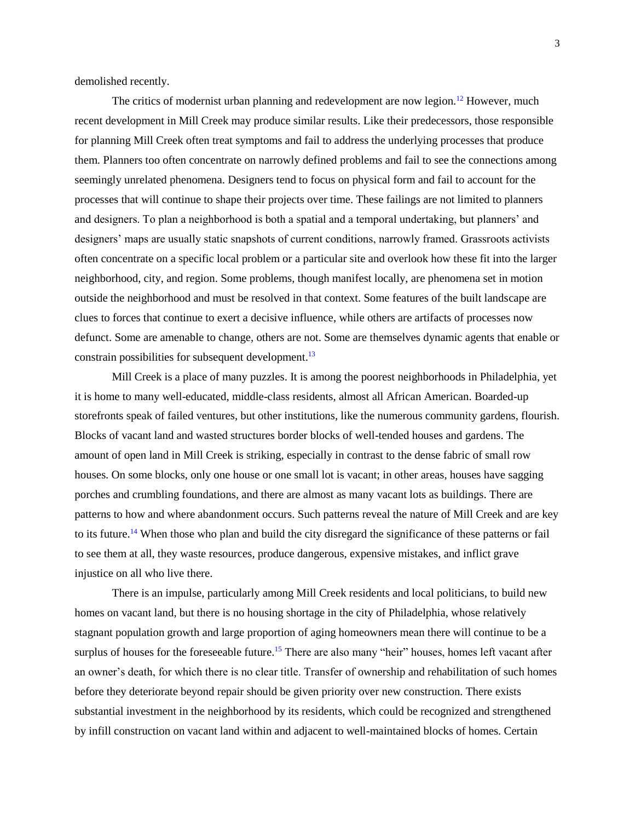demolished recently.

The critics of modernist urban planning and redevelopment are now legion.<sup>12</sup> However, much recent development in Mill Creek may produce similar results. Like their predecessors, those responsible for planning Mill Creek often treat symptoms and fail to address the underlying processes that produce them. Planners too often concentrate on narrowly defined problems and fail to see the connections among seemingly unrelated phenomena. Designers tend to focus on physical form and fail to account for the processes that will continue to shape their projects over time. These failings are not limited to planners and designers. To plan a neighborhood is both a spatial and a temporal undertaking, but planners' and designers' maps are usually static snapshots of current conditions, narrowly framed. Grassroots activists often concentrate on a specific local problem or a particular site and overlook how these fit into the larger neighborhood, city, and region. Some problems, though manifest locally, are phenomena set in motion outside the neighborhood and must be resolved in that context. Some features of the built landscape are clues to forces that continue to exert a decisive influence, while others are artifacts of processes now defunct. Some are amenable to change, others are not. Some are themselves dynamic agents that enable or constrain possibilities for subsequent development.<sup>13</sup>

Mill Creek is a place of many puzzles. It is among the poorest neighborhoods in Philadelphia, yet it is home to many well-educated, middle-class residents, almost all African American. Boarded-up storefronts speak of failed ventures, but other institutions, like the numerous community gardens, flourish. Blocks of vacant land and wasted structures border blocks of well-tended houses and gardens. The amount of open land in Mill Creek is striking, especially in contrast to the dense fabric of small row houses. On some blocks, only one house or one small lot is vacant; in other areas, houses have sagging porches and crumbling foundations, and there are almost as many vacant lots as buildings. There are patterns to how and where abandonment occurs. Such patterns reveal the nature of Mill Creek and are key to its future.<sup>14</sup> When those who plan and build the city disregard the significance of these patterns or fail to see them at all, they waste resources, produce dangerous, expensive mistakes, and inflict grave injustice on all who live there.

There is an impulse, particularly among Mill Creek residents and local politicians, to build new homes on vacant land, but there is no housing shortage in the city of Philadelphia, whose relatively stagnant population growth and large proportion of aging homeowners mean there will continue to be a surplus of houses for the foreseeable future.<sup>15</sup> There are also many "heir" houses, homes left vacant after an owner's death, for which there is no clear title. Transfer of ownership and rehabilitation of such homes before they deteriorate beyond repair should be given priority over new construction. There exists substantial investment in the neighborhood by its residents, which could be recognized and strengthened by infill construction on vacant land within and adjacent to well-maintained blocks of homes. Certain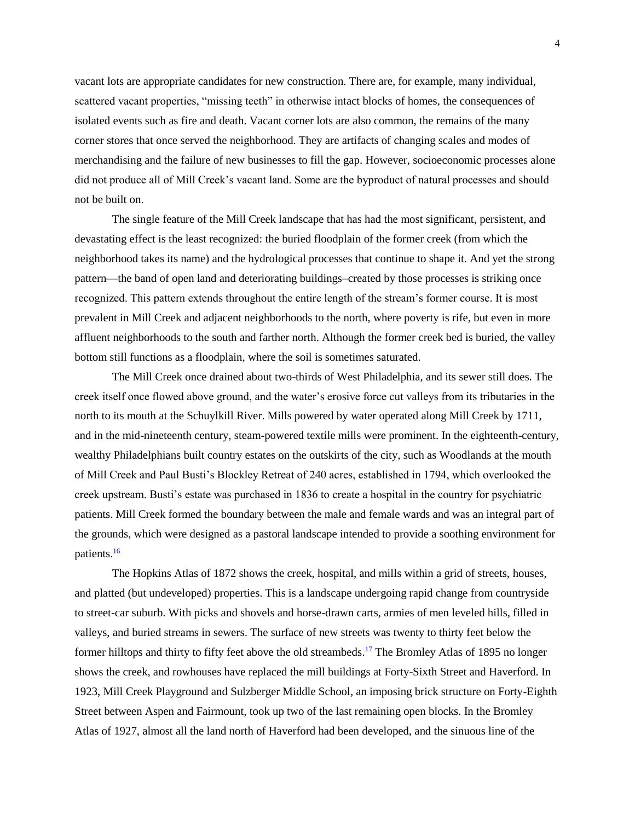vacant lots are appropriate candidates for new construction. There are, for example, many individual, scattered vacant properties, "missing teeth" in otherwise intact blocks of homes, the consequences of isolated events such as fire and death. Vacant corner lots are also common, the remains of the many corner stores that once served the neighborhood. They are artifacts of changing scales and modes of merchandising and the failure of new businesses to fill the gap. However, socioeconomic processes alone did not produce all of Mill Creek's vacant land. Some are the byproduct of natural processes and should not be built on.

The single feature of the Mill Creek landscape that has had the most significant, persistent, and devastating effect is the least recognized: the buried floodplain of the former creek (from which the neighborhood takes its name) and the hydrological processes that continue to shape it. And yet the strong pattern—the band of open land and deteriorating buildings–created by those processes is striking once recognized. This pattern extends throughout the entire length of the stream's former course. It is most prevalent in Mill Creek and adjacent neighborhoods to the north, where poverty is rife, but even in more affluent neighborhoods to the south and farther north. Although the former creek bed is buried, the valley bottom still functions as a floodplain, where the soil is sometimes saturated.

The Mill Creek once drained about two-thirds of West Philadelphia, and its sewer still does. The creek itself once flowed above ground, and the water's erosive force cut valleys from its tributaries in the north to its mouth at the Schuylkill River. Mills powered by water operated along Mill Creek by 1711, and in the mid-nineteenth century, steam-powered textile mills were prominent. In the eighteenth-century, wealthy Philadelphians built country estates on the outskirts of the city, such as Woodlands at the mouth of Mill Creek and Paul Busti's Blockley Retreat of 240 acres, established in 1794, which overlooked the creek upstream. Busti's estate was purchased in 1836 to create a hospital in the country for psychiatric patients. Mill Creek formed the boundary between the male and female wards and was an integral part of the grounds, which were designed as a pastoral landscape intended to provide a soothing environment for patients.<sup>16</sup>

The Hopkins Atlas of 1872 shows the creek, hospital, and mills within a grid of streets, houses, and platted (but undeveloped) properties. This is a landscape undergoing rapid change from countryside to street-car suburb. With picks and shovels and horse-drawn carts, armies of men leveled hills, filled in valleys, and buried streams in sewers. The surface of new streets was twenty to thirty feet below the former hilltops and thirty to fifty feet above the old streambeds.<sup>17</sup> The Bromley Atlas of 1895 no longer shows the creek, and rowhouses have replaced the mill buildings at Forty-Sixth Street and Haverford. In 1923, Mill Creek Playground and Sulzberger Middle School, an imposing brick structure on Forty-Eighth Street between Aspen and Fairmount, took up two of the last remaining open blocks. In the Bromley Atlas of 1927, almost all the land north of Haverford had been developed, and the sinuous line of the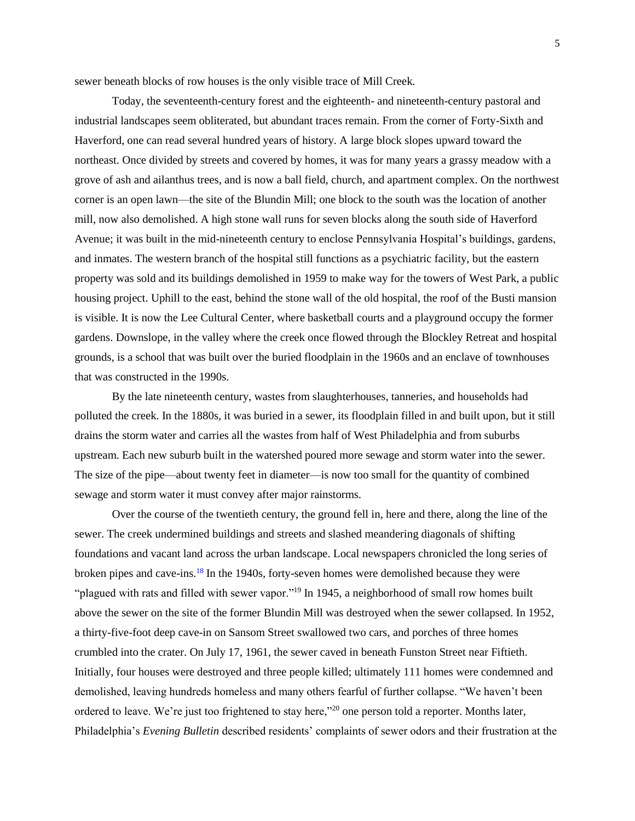sewer beneath blocks of row houses is the only visible trace of Mill Creek.

Today, the seventeenth-century forest and the eighteenth- and nineteenth-century pastoral and industrial landscapes seem obliterated, but abundant traces remain. From the corner of Forty-Sixth and Haverford, one can read several hundred years of history. A large block slopes upward toward the northeast. Once divided by streets and covered by homes, it was for many years a grassy meadow with a grove of ash and ailanthus trees, and is now a ball field, church, and apartment complex. On the northwest corner is an open lawn—the site of the Blundin Mill; one block to the south was the location of another mill, now also demolished. A high stone wall runs for seven blocks along the south side of Haverford Avenue; it was built in the mid-nineteenth century to enclose Pennsylvania Hospital's buildings, gardens, and inmates. The western branch of the hospital still functions as a psychiatric facility, but the eastern property was sold and its buildings demolished in 1959 to make way for the towers of West Park, a public housing project. Uphill to the east, behind the stone wall of the old hospital, the roof of the Busti mansion is visible. It is now the Lee Cultural Center, where basketball courts and a playground occupy the former gardens. Downslope, in the valley where the creek once flowed through the Blockley Retreat and hospital grounds, is a school that was built over the buried floodplain in the 1960s and an enclave of townhouses that was constructed in the 1990s.

By the late nineteenth century, wastes from slaughterhouses, tanneries, and households had polluted the creek. In the 1880s, it was buried in a sewer, its floodplain filled in and built upon, but it still drains the storm water and carries all the wastes from half of West Philadelphia and from suburbs upstream. Each new suburb built in the watershed poured more sewage and storm water into the sewer. The size of the pipe—about twenty feet in diameter—is now too small for the quantity of combined sewage and storm water it must convey after major rainstorms.

Over the course of the twentieth century, the ground fell in, here and there, along the line of the sewer. The creek undermined buildings and streets and slashed meandering diagonals of shifting foundations and vacant land across the urban landscape. Local newspapers chronicled the long series of broken pipes and cave-ins.<sup>18</sup> In the 1940s, forty-seven homes were demolished because they were "plagued with rats and filled with sewer vapor."<sup>19</sup> In 1945, a neighborhood of small row homes built above the sewer on the site of the former Blundin Mill was destroyed when the sewer collapsed. In 1952, a thirty-five-foot deep cave-in on Sansom Street swallowed two cars, and porches of three homes crumbled into the crater. On July 17, 1961, the sewer caved in beneath Funston Street near Fiftieth. Initially, four houses were destroyed and three people killed; ultimately 111 homes were condemned and demolished, leaving hundreds homeless and many others fearful of further collapse. "We haven't been ordered to leave. We're just too frightened to stay here,"<sup>20</sup> one person told a reporter. Months later, Philadelphia's *Evening Bulletin* described residents' complaints of sewer odors and their frustration at the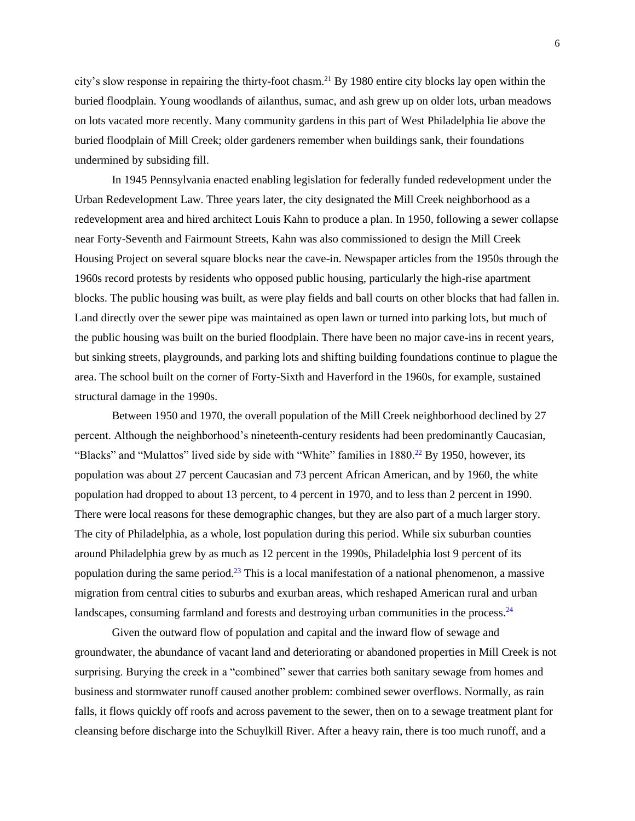city's slow response in repairing the thirty-foot chasm.<sup>21</sup> By 1980 entire city blocks lay open within the buried floodplain. Young woodlands of ailanthus, sumac, and ash grew up on older lots, urban meadows on lots vacated more recently. Many community gardens in this part of West Philadelphia lie above the buried floodplain of Mill Creek; older gardeners remember when buildings sank, their foundations undermined by subsiding fill.

In 1945 Pennsylvania enacted enabling legislation for federally funded redevelopment under the Urban Redevelopment Law. Three years later, the city designated the Mill Creek neighborhood as a redevelopment area and hired architect Louis Kahn to produce a plan. In 1950, following a sewer collapse near Forty-Seventh and Fairmount Streets, Kahn was also commissioned to design the Mill Creek Housing Project on several square blocks near the cave-in. Newspaper articles from the 1950s through the 1960s record protests by residents who opposed public housing, particularly the high-rise apartment blocks. The public housing was built, as were play fields and ball courts on other blocks that had fallen in. Land directly over the sewer pipe was maintained as open lawn or turned into parking lots, but much of the public housing was built on the buried floodplain. There have been no major cave-ins in recent years, but sinking streets, playgrounds, and parking lots and shifting building foundations continue to plague the area. The school built on the corner of Forty-Sixth and Haverford in the 1960s, for example, sustained structural damage in the 1990s.

Between 1950 and 1970, the overall population of the Mill Creek neighborhood declined by 27 percent. Although the neighborhood's nineteenth-century residents had been predominantly Caucasian, "Blacks" and "Mulattos" lived side by side with "White" families in 1880.<sup>22</sup> By 1950, however, its population was about 27 percent Caucasian and 73 percent African American, and by 1960, the white population had dropped to about 13 percent, to 4 percent in 1970, and to less than 2 percent in 1990. There were local reasons for these demographic changes, but they are also part of a much larger story. The city of Philadelphia, as a whole, lost population during this period. While six suburban counties around Philadelphia grew by as much as 12 percent in the 1990s, Philadelphia lost 9 percent of its population during the same period.<sup>23</sup> This is a local manifestation of a national phenomenon, a massive migration from central cities to suburbs and exurban areas, which reshaped American rural and urban landscapes, consuming farmland and forests and destroying urban communities in the process.<sup>24</sup>

Given the outward flow of population and capital and the inward flow of sewage and groundwater, the abundance of vacant land and deteriorating or abandoned properties in Mill Creek is not surprising. Burying the creek in a "combined" sewer that carries both sanitary sewage from homes and business and stormwater runoff caused another problem: combined sewer overflows. Normally, as rain falls, it flows quickly off roofs and across pavement to the sewer, then on to a sewage treatment plant for cleansing before discharge into the Schuylkill River. After a heavy rain, there is too much runoff, and a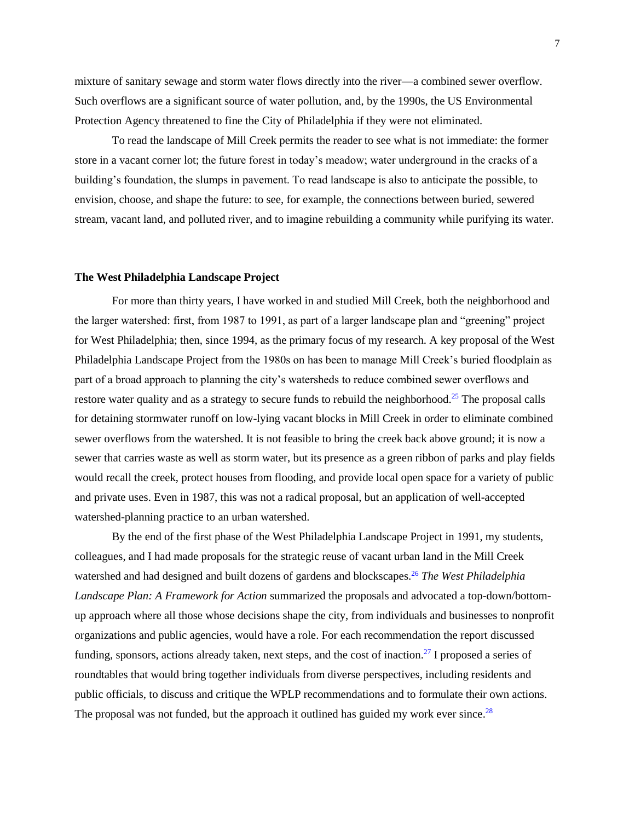mixture of sanitary sewage and storm water flows directly into the river—a combined sewer overflow. Such overflows are a significant source of water pollution, and, by the 1990s, the US Environmental Protection Agency threatened to fine the City of Philadelphia if they were not eliminated.

To read the landscape of Mill Creek permits the reader to see what is not immediate: the former store in a vacant corner lot; the future forest in today's meadow; water underground in the cracks of a building's foundation, the slumps in pavement. To read landscape is also to anticipate the possible, to envision, choose, and shape the future: to see, for example, the connections between buried, sewered stream, vacant land, and polluted river, and to imagine rebuilding a community while purifying its water.

#### **The West Philadelphia Landscape Project**

For more than thirty years, I have worked in and studied Mill Creek, both the neighborhood and the larger watershed: first, from 1987 to 1991, as part of a larger landscape plan and "greening" project for West Philadelphia; then, since 1994, as the primary focus of my research. A key proposal of the West Philadelphia Landscape Project from the 1980s on has been to manage Mill Creek's buried floodplain as part of a broad approach to planning the city's watersheds to reduce combined sewer overflows and restore water quality and as a strategy to secure funds to rebuild the neighborhood.<sup>25</sup> The proposal calls for detaining stormwater runoff on low-lying vacant blocks in Mill Creek in order to eliminate combined sewer overflows from the watershed. It is not feasible to bring the creek back above ground; it is now a sewer that carries waste as well as storm water, but its presence as a green ribbon of parks and play fields would recall the creek, protect houses from flooding, and provide local open space for a variety of public and private uses. Even in 1987, this was not a radical proposal, but an application of well-accepted watershed-planning practice to an urban watershed.

By the end of the first phase of the West Philadelphia Landscape Project in 1991, my students, colleagues, and I had made proposals for the strategic reuse of vacant urban land in the Mill Creek watershed and had designed and built dozens of gardens and blockscapes.<sup>26</sup> *The West Philadelphia Landscape Plan: A Framework for Action* summarized the proposals and advocated a top-down/bottomup approach where all those whose decisions shape the city, from individuals and businesses to nonprofit organizations and public agencies, would have a role. For each recommendation the report discussed funding, sponsors, actions already taken, next steps, and the cost of inaction.<sup>27</sup> I proposed a series of roundtables that would bring together individuals from diverse perspectives, including residents and public officials, to discuss and critique the WPLP recommendations and to formulate their own actions. The proposal was not funded, but the approach it outlined has guided my work ever since.<sup>28</sup>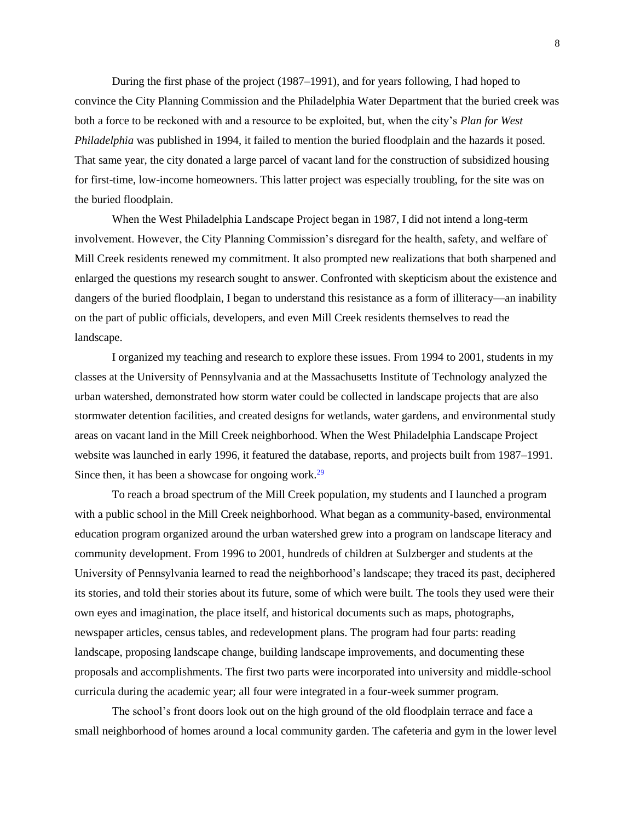During the first phase of the project (1987–1991), and for years following, I had hoped to convince the City Planning Commission and the Philadelphia Water Department that the buried creek was both a force to be reckoned with and a resource to be exploited, but, when the city's *Plan for West Philadelphia* was published in 1994, it failed to mention the buried floodplain and the hazards it posed. That same year, the city donated a large parcel of vacant land for the construction of subsidized housing for first-time, low-income homeowners. This latter project was especially troubling, for the site was on the buried floodplain.

When the West Philadelphia Landscape Project began in 1987, I did not intend a long-term involvement. However, the City Planning Commission's disregard for the health, safety, and welfare of Mill Creek residents renewed my commitment. It also prompted new realizations that both sharpened and enlarged the questions my research sought to answer. Confronted with skepticism about the existence and dangers of the buried floodplain, I began to understand this resistance as a form of illiteracy—an inability on the part of public officials, developers, and even Mill Creek residents themselves to read the landscape.

I organized my teaching and research to explore these issues. From 1994 to 2001, students in my classes at the University of Pennsylvania and at the Massachusetts Institute of Technology analyzed the urban watershed, demonstrated how storm water could be collected in landscape projects that are also stormwater detention facilities, and created designs for wetlands, water gardens, and environmental study areas on vacant land in the Mill Creek neighborhood. When the West Philadelphia Landscape Project website was launched in early 1996, it featured the database, reports, and projects built from 1987–1991. Since then, it has been a showcase for ongoing work.<sup>29</sup>

To reach a broad spectrum of the Mill Creek population, my students and I launched a program with a public school in the Mill Creek neighborhood. What began as a community-based, environmental education program organized around the urban watershed grew into a program on landscape literacy and community development. From 1996 to 2001, hundreds of children at Sulzberger and students at the University of Pennsylvania learned to read the neighborhood's landscape; they traced its past, deciphered its stories, and told their stories about its future, some of which were built. The tools they used were their own eyes and imagination, the place itself, and historical documents such as maps, photographs, newspaper articles, census tables, and redevelopment plans. The program had four parts: reading landscape, proposing landscape change, building landscape improvements, and documenting these proposals and accomplishments. The first two parts were incorporated into university and middle-school curricula during the academic year; all four were integrated in a four-week summer program.

The school's front doors look out on the high ground of the old floodplain terrace and face a small neighborhood of homes around a local community garden. The cafeteria and gym in the lower level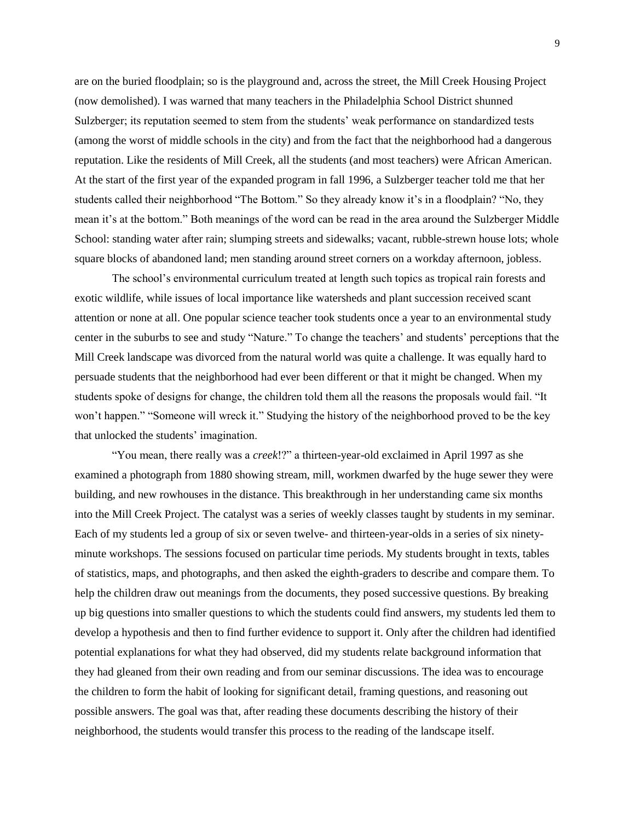are on the buried floodplain; so is the playground and, across the street, the Mill Creek Housing Project (now demolished). I was warned that many teachers in the Philadelphia School District shunned Sulzberger; its reputation seemed to stem from the students' weak performance on standardized tests (among the worst of middle schools in the city) and from the fact that the neighborhood had a dangerous reputation. Like the residents of Mill Creek, all the students (and most teachers) were African American. At the start of the first year of the expanded program in fall 1996, a Sulzberger teacher told me that her students called their neighborhood "The Bottom." So they already know it's in a floodplain? "No, they mean it's at the bottom." Both meanings of the word can be read in the area around the Sulzberger Middle School: standing water after rain; slumping streets and sidewalks; vacant, rubble-strewn house lots; whole square blocks of abandoned land; men standing around street corners on a workday afternoon, jobless.

The school's environmental curriculum treated at length such topics as tropical rain forests and exotic wildlife, while issues of local importance like watersheds and plant succession received scant attention or none at all. One popular science teacher took students once a year to an environmental study center in the suburbs to see and study "Nature." To change the teachers' and students' perceptions that the Mill Creek landscape was divorced from the natural world was quite a challenge. It was equally hard to persuade students that the neighborhood had ever been different or that it might be changed. When my students spoke of designs for change, the children told them all the reasons the proposals would fail. "It won't happen." "Someone will wreck it." Studying the history of the neighborhood proved to be the key that unlocked the students' imagination.

"You mean, there really was a *creek*!?" a thirteen-year-old exclaimed in April 1997 as she examined a photograph from 1880 showing stream, mill, workmen dwarfed by the huge sewer they were building, and new rowhouses in the distance. This breakthrough in her understanding came six months into the Mill Creek Project. The catalyst was a series of weekly classes taught by students in my seminar. Each of my students led a group of six or seven twelve- and thirteen-year-olds in a series of six ninetyminute workshops. The sessions focused on particular time periods. My students brought in texts, tables of statistics, maps, and photographs, and then asked the eighth-graders to describe and compare them. To help the children draw out meanings from the documents, they posed successive questions. By breaking up big questions into smaller questions to which the students could find answers, my students led them to develop a hypothesis and then to find further evidence to support it. Only after the children had identified potential explanations for what they had observed, did my students relate background information that they had gleaned from their own reading and from our seminar discussions. The idea was to encourage the children to form the habit of looking for significant detail, framing questions, and reasoning out possible answers. The goal was that, after reading these documents describing the history of their neighborhood, the students would transfer this process to the reading of the landscape itself.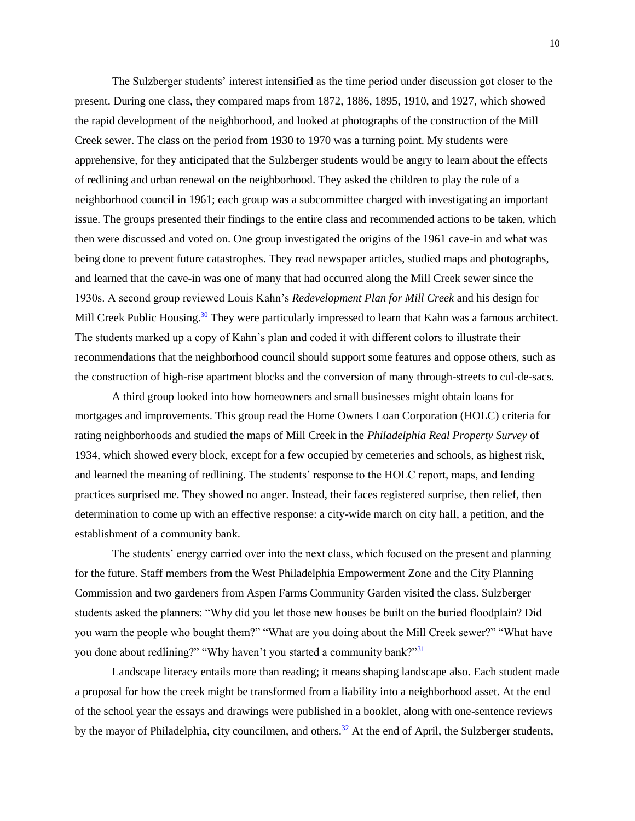The Sulzberger students' interest intensified as the time period under discussion got closer to the present. During one class, they compared maps from 1872, 1886, 1895, 1910, and 1927, which showed the rapid development of the neighborhood, and looked at photographs of the construction of the Mill Creek sewer. The class on the period from 1930 to 1970 was a turning point. My students were apprehensive, for they anticipated that the Sulzberger students would be angry to learn about the effects of redlining and urban renewal on the neighborhood. They asked the children to play the role of a neighborhood council in 1961; each group was a subcommittee charged with investigating an important issue. The groups presented their findings to the entire class and recommended actions to be taken, which then were discussed and voted on. One group investigated the origins of the 1961 cave-in and what was being done to prevent future catastrophes. They read newspaper articles, studied maps and photographs, and learned that the cave-in was one of many that had occurred along the Mill Creek sewer since the 1930s. A second group reviewed Louis Kahn's *Redevelopment Plan for Mill Creek* and his design for Mill Creek Public Housing.<sup>30</sup> They were particularly impressed to learn that Kahn was a famous architect. The students marked up a copy of Kahn's plan and coded it with different colors to illustrate their recommendations that the neighborhood council should support some features and oppose others, such as the construction of high-rise apartment blocks and the conversion of many through-streets to cul-de-sacs.

A third group looked into how homeowners and small businesses might obtain loans for mortgages and improvements. This group read the Home Owners Loan Corporation (HOLC) criteria for rating neighborhoods and studied the maps of Mill Creek in the *Philadelphia Real Property Survey* of 1934, which showed every block, except for a few occupied by cemeteries and schools, as highest risk, and learned the meaning of redlining. The students' response to the HOLC report, maps, and lending practices surprised me. They showed no anger. Instead, their faces registered surprise, then relief, then determination to come up with an effective response: a city-wide march on city hall, a petition, and the establishment of a community bank.

The students' energy carried over into the next class, which focused on the present and planning for the future. Staff members from the West Philadelphia Empowerment Zone and the City Planning Commission and two gardeners from Aspen Farms Community Garden visited the class. Sulzberger students asked the planners: "Why did you let those new houses be built on the buried floodplain? Did you warn the people who bought them?" "What are you doing about the Mill Creek sewer?" "What have you done about redlining?" "Why haven't you started a community bank?"<sup>31</sup>

Landscape literacy entails more than reading; it means shaping landscape also. Each student made a proposal for how the creek might be transformed from a liability into a neighborhood asset. At the end of the school year the essays and drawings were published in a booklet, along with one-sentence reviews by the mayor of Philadelphia, city councilmen, and others.<sup>32</sup> At the end of April, the Sulzberger students,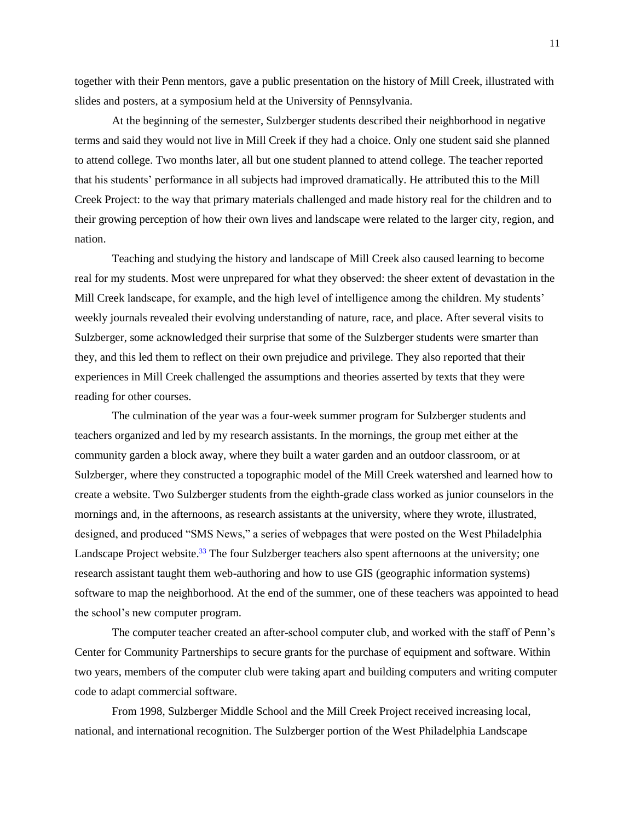together with their Penn mentors, gave a public presentation on the history of Mill Creek, illustrated with slides and posters, at a symposium held at the University of Pennsylvania.

At the beginning of the semester, Sulzberger students described their neighborhood in negative terms and said they would not live in Mill Creek if they had a choice. Only one student said she planned to attend college. Two months later, all but one student planned to attend college. The teacher reported that his students' performance in all subjects had improved dramatically. He attributed this to the Mill Creek Project: to the way that primary materials challenged and made history real for the children and to their growing perception of how their own lives and landscape were related to the larger city, region, and nation.

Teaching and studying the history and landscape of Mill Creek also caused learning to become real for my students. Most were unprepared for what they observed: the sheer extent of devastation in the Mill Creek landscape, for example, and the high level of intelligence among the children. My students' weekly journals revealed their evolving understanding of nature, race, and place. After several visits to Sulzberger, some acknowledged their surprise that some of the Sulzberger students were smarter than they, and this led them to reflect on their own prejudice and privilege. They also reported that their experiences in Mill Creek challenged the assumptions and theories asserted by texts that they were reading for other courses.

The culmination of the year was a four-week summer program for Sulzberger students and teachers organized and led by my research assistants. In the mornings, the group met either at the community garden a block away, where they built a water garden and an outdoor classroom, or at Sulzberger, where they constructed a topographic model of the Mill Creek watershed and learned how to create a website. Two Sulzberger students from the eighth-grade class worked as junior counselors in the mornings and, in the afternoons, as research assistants at the university, where they wrote, illustrated, designed, and produced "SMS News," a series of webpages that were posted on the West Philadelphia Landscape Project website.<sup>33</sup> The four Sulzberger teachers also spent afternoons at the university; one research assistant taught them web-authoring and how to use GIS (geographic information systems) software to map the neighborhood. At the end of the summer, one of these teachers was appointed to head the school's new computer program.

The computer teacher created an after-school computer club, and worked with the staff of Penn's Center for Community Partnerships to secure grants for the purchase of equipment and software. Within two years, members of the computer club were taking apart and building computers and writing computer code to adapt commercial software.

From 1998, Sulzberger Middle School and the Mill Creek Project received increasing local, national, and international recognition. The Sulzberger portion of the West Philadelphia Landscape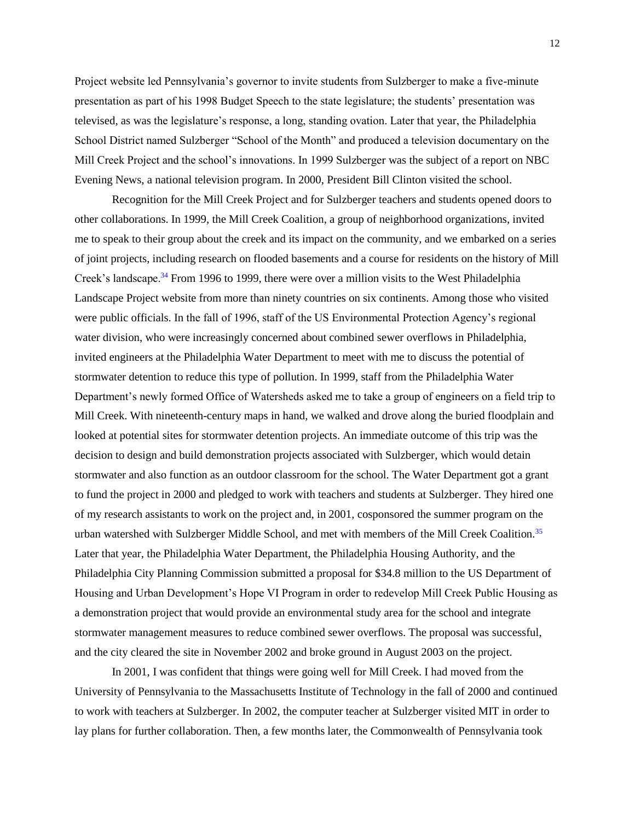Project website led Pennsylvania's governor to invite students from Sulzberger to make a five-minute presentation as part of his 1998 Budget Speech to the state legislature; the students' presentation was televised, as was the legislature's response, a long, standing ovation. Later that year, the Philadelphia School District named Sulzberger "School of the Month" and produced a television documentary on the Mill Creek Project and the school's innovations. In 1999 Sulzberger was the subject of a report on NBC Evening News, a national television program. In 2000, President Bill Clinton visited the school.

Recognition for the Mill Creek Project and for Sulzberger teachers and students opened doors to other collaborations. In 1999, the Mill Creek Coalition, a group of neighborhood organizations, invited me to speak to their group about the creek and its impact on the community, and we embarked on a series of joint projects, including research on flooded basements and a course for residents on the history of Mill Creek's landscape.<sup>34</sup> From 1996 to 1999, there were over a million visits to the West Philadelphia Landscape Project website from more than ninety countries on six continents. Among those who visited were public officials. In the fall of 1996, staff of the US Environmental Protection Agency's regional water division, who were increasingly concerned about combined sewer overflows in Philadelphia, invited engineers at the Philadelphia Water Department to meet with me to discuss the potential of stormwater detention to reduce this type of pollution. In 1999, staff from the Philadelphia Water Department's newly formed Office of Watersheds asked me to take a group of engineers on a field trip to Mill Creek. With nineteenth-century maps in hand, we walked and drove along the buried floodplain and looked at potential sites for stormwater detention projects. An immediate outcome of this trip was the decision to design and build demonstration projects associated with Sulzberger, which would detain stormwater and also function as an outdoor classroom for the school. The Water Department got a grant to fund the project in 2000 and pledged to work with teachers and students at Sulzberger. They hired one of my research assistants to work on the project and, in 2001, cosponsored the summer program on the urban watershed with Sulzberger Middle School, and met with members of the Mill Creek Coalition.<sup>35</sup> Later that year, the Philadelphia Water Department, the Philadelphia Housing Authority, and the Philadelphia City Planning Commission submitted a proposal for \$34.8 million to the US Department of Housing and Urban Development's Hope VI Program in order to redevelop Mill Creek Public Housing as a demonstration project that would provide an environmental study area for the school and integrate stormwater management measures to reduce combined sewer overflows. The proposal was successful, and the city cleared the site in November 2002 and broke ground in August 2003 on the project.

In 2001, I was confident that things were going well for Mill Creek. I had moved from the University of Pennsylvania to the Massachusetts Institute of Technology in the fall of 2000 and continued to work with teachers at Sulzberger. In 2002, the computer teacher at Sulzberger visited MIT in order to lay plans for further collaboration. Then, a few months later, the Commonwealth of Pennsylvania took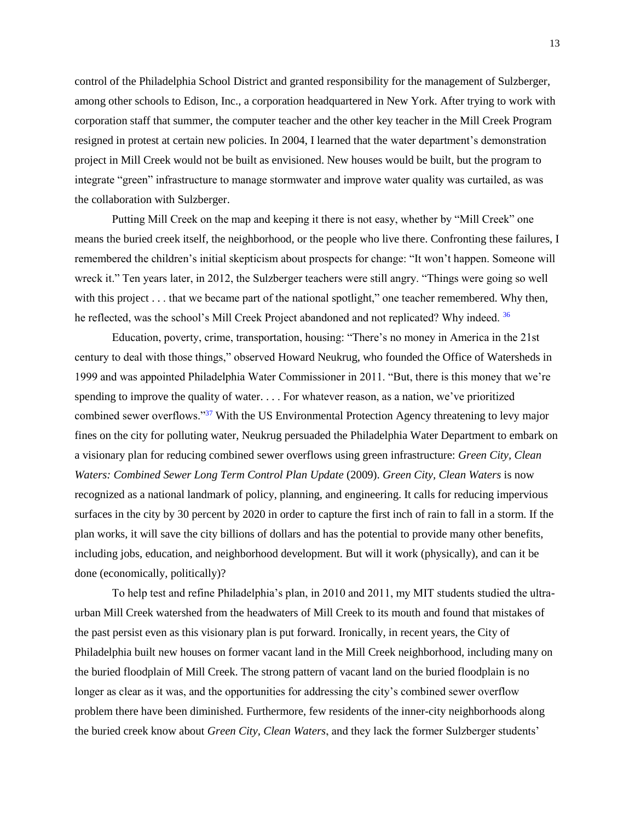control of the Philadelphia School District and granted responsibility for the management of Sulzberger, among other schools to Edison, Inc., a corporation headquartered in New York. After trying to work with corporation staff that summer, the computer teacher and the other key teacher in the Mill Creek Program resigned in protest at certain new policies. In 2004, I learned that the water department's demonstration project in Mill Creek would not be built as envisioned. New houses would be built, but the program to integrate "green" infrastructure to manage stormwater and improve water quality was curtailed, as was the collaboration with Sulzberger.

Putting Mill Creek on the map and keeping it there is not easy, whether by "Mill Creek" one means the buried creek itself, the neighborhood, or the people who live there. Confronting these failures, I remembered the children's initial skepticism about prospects for change: "It won't happen. Someone will wreck it." Ten years later, in 2012, the Sulzberger teachers were still angry. "Things were going so well with this project . . . that we became part of the national spotlight," one teacher remembered. Why then, he reflected, was the school's Mill Creek Project abandoned and not replicated? Why indeed. <sup>36</sup>

Education, poverty, crime, transportation, housing: "There's no money in America in the 21st century to deal with those things," observed Howard Neukrug, who founded the Office of Watersheds in 1999 and was appointed Philadelphia Water Commissioner in 2011. "But, there is this money that we're spending to improve the quality of water. . . . For whatever reason, as a nation, we've prioritized combined sewer overflows."<sup>37</sup> With the US Environmental Protection Agency threatening to levy major fines on the city for polluting water, Neukrug persuaded the Philadelphia Water Department to embark on a visionary plan for reducing combined sewer overflows using green infrastructure: *Green City, Clean Waters: Combined Sewer Long Term Control Plan Update* (2009). *Green City, Clean Waters* is now recognized as a national landmark of policy, planning, and engineering. It calls for reducing impervious surfaces in the city by 30 percent by 2020 in order to capture the first inch of rain to fall in a storm. If the plan works, it will save the city billions of dollars and has the potential to provide many other benefits, including jobs, education, and neighborhood development. But will it work (physically), and can it be done (economically, politically)?

To help test and refine Philadelphia's plan, in 2010 and 2011, my MIT students studied the ultraurban Mill Creek watershed from the headwaters of Mill Creek to its mouth and found that mistakes of the past persist even as this visionary plan is put forward. Ironically, in recent years, the City of Philadelphia built new houses on former vacant land in the Mill Creek neighborhood, including many on the buried floodplain of Mill Creek. The strong pattern of vacant land on the buried floodplain is no longer as clear as it was, and the opportunities for addressing the city's combined sewer overflow problem there have been diminished. Furthermore, few residents of the inner-city neighborhoods along the buried creek know about *Green City, Clean Waters*, and they lack the former Sulzberger students'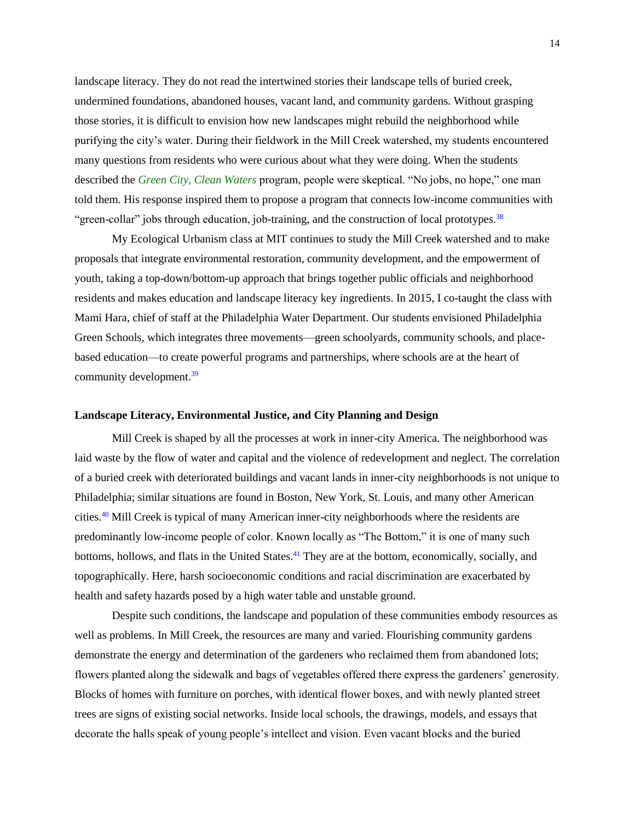landscape literacy. They do not read the intertwined stories their landscape tells of buried creek, undermined foundations, abandoned houses, vacant land, and community gardens. Without grasping those stories, it is difficult to envision how new landscapes might rebuild the neighborhood while purifying the city's water. During their fieldwork in the Mill Creek watershed, my students encountered many questions from residents who were curious about what they were doing. When the students described the *Green City, Clean Waters* program, people were skeptical. "No jobs, no hope," one man told them. His response inspired them to propose a program that connects low-income communities with "green-collar" jobs through education, job-training, and the construction of local prototypes.<sup>38</sup>

My Ecological Urbanism class at MIT continues to study the Mill Creek watershed and to make proposals that integrate environmental restoration, community development, and the empowerment of youth, taking a top-down/bottom-up approach that brings together public officials and neighborhood residents and makes education and landscape literacy key ingredients. In 2015, I co-taught the class with Mami Hara, chief of staff at the Philadelphia Water Department. Our students envisioned Philadelphia Green Schools, which integrates three movements—green schoolyards, community schools, and placebased education—to create powerful programs and partnerships, where schools are at the heart of community development.<sup>39</sup>

#### **Landscape Literacy, Environmental Justice, and City Planning and Design**

Mill Creek is shaped by all the processes at work in inner-city America. The neighborhood was laid waste by the flow of water and capital and the violence of redevelopment and neglect. The correlation of a buried creek with deteriorated buildings and vacant lands in inner-city neighborhoods is not unique to Philadelphia; similar situations are found in Boston, New York, St. Louis, and many other American cities.<sup>40</sup> Mill Creek is typical of many American inner-city neighborhoods where the residents are predominantly low-income people of color. Known locally as "The Bottom," it is one of many such bottoms, hollows, and flats in the United States.<sup>41</sup> They are at the bottom, economically, socially, and topographically. Here, harsh socioeconomic conditions and racial discrimination are exacerbated by health and safety hazards posed by a high water table and unstable ground.

Despite such conditions, the landscape and population of these communities embody resources as well as problems. In Mill Creek, the resources are many and varied. Flourishing community gardens demonstrate the energy and determination of the gardeners who reclaimed them from abandoned lots; flowers planted along the sidewalk and bags of vegetables offered there express the gardeners' generosity. Blocks of homes with furniture on porches, with identical flower boxes, and with newly planted street trees are signs of existing social networks. Inside local schools, the drawings, models, and essays that decorate the halls speak of young people's intellect and vision. Even vacant blocks and the buried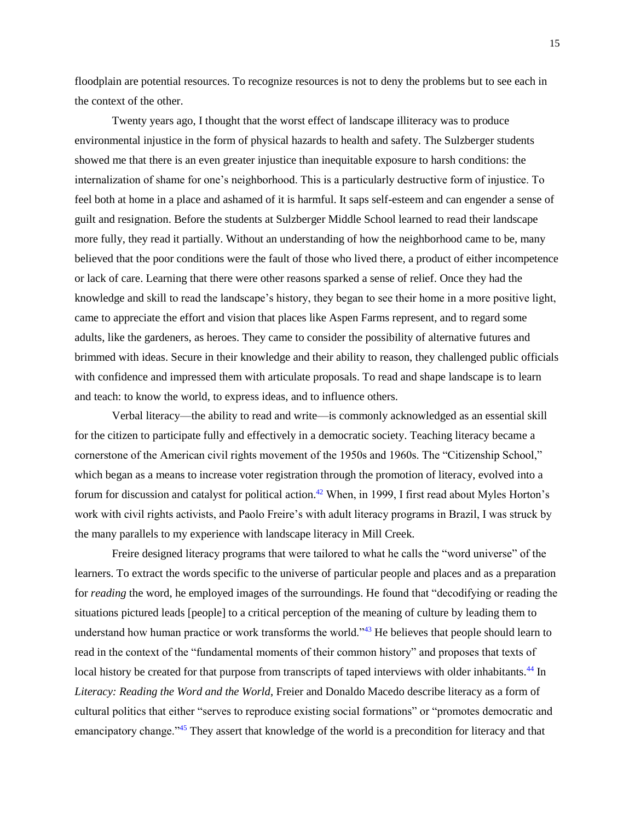floodplain are potential resources. To recognize resources is not to deny the problems but to see each in the context of the other.

Twenty years ago, I thought that the worst effect of landscape illiteracy was to produce environmental injustice in the form of physical hazards to health and safety. The Sulzberger students showed me that there is an even greater injustice than inequitable exposure to harsh conditions: the internalization of shame for one's neighborhood. This is a particularly destructive form of injustice. To feel both at home in a place and ashamed of it is harmful. It saps self-esteem and can engender a sense of guilt and resignation. Before the students at Sulzberger Middle School learned to read their landscape more fully, they read it partially. Without an understanding of how the neighborhood came to be, many believed that the poor conditions were the fault of those who lived there, a product of either incompetence or lack of care. Learning that there were other reasons sparked a sense of relief. Once they had the knowledge and skill to read the landscape's history, they began to see their home in a more positive light, came to appreciate the effort and vision that places like Aspen Farms represent, and to regard some adults, like the gardeners, as heroes. They came to consider the possibility of alternative futures and brimmed with ideas. Secure in their knowledge and their ability to reason, they challenged public officials with confidence and impressed them with articulate proposals. To read and shape landscape is to learn and teach: to know the world, to express ideas, and to influence others.

Verbal literacy—the ability to read and write—is commonly acknowledged as an essential skill for the citizen to participate fully and effectively in a democratic society. Teaching literacy became a cornerstone of the American civil rights movement of the 1950s and 1960s. The "Citizenship School," which began as a means to increase voter registration through the promotion of literacy, evolved into a forum for discussion and catalyst for political action.<sup>42</sup> When, in 1999, I first read about Myles Horton's work with civil rights activists, and Paolo Freire's with adult literacy programs in Brazil, I was struck by the many parallels to my experience with landscape literacy in Mill Creek.

Freire designed literacy programs that were tailored to what he calls the "word universe" of the learners. To extract the words specific to the universe of particular people and places and as a preparation for *reading* the word, he employed images of the surroundings. He found that "decodifying or reading the situations pictured leads [people] to a critical perception of the meaning of culture by leading them to understand how human practice or work transforms the world."<sup>43</sup> He believes that people should learn to read in the context of the "fundamental moments of their common history" and proposes that texts of local history be created for that purpose from transcripts of taped interviews with older inhabitants.<sup>44</sup> In *Literacy: Reading the Word and the World*, Freier and Donaldo Macedo describe literacy as a form of cultural politics that either "serves to reproduce existing social formations" or "promotes democratic and emancipatory change."<sup>45</sup> They assert that knowledge of the world is a precondition for literacy and that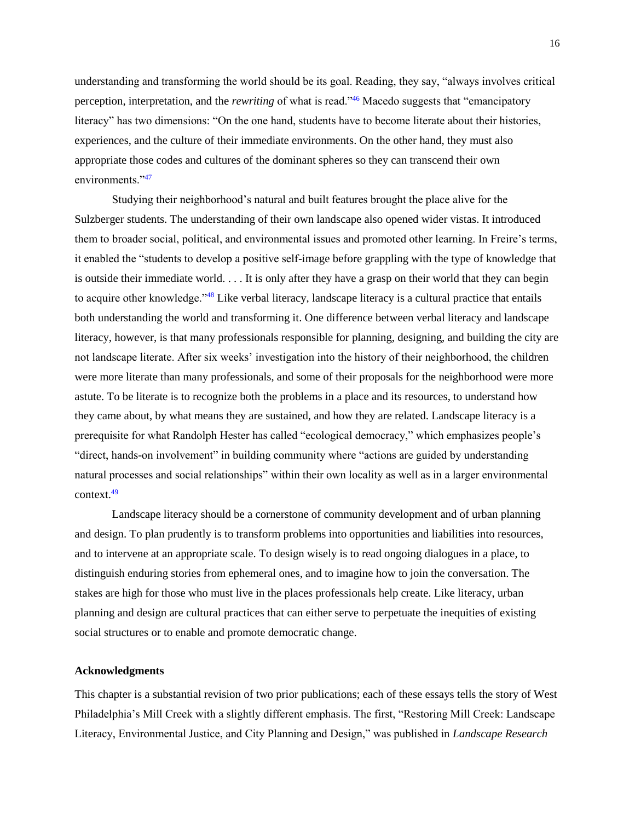understanding and transforming the world should be its goal. Reading, they say, "always involves critical perception, interpretation, and the *rewriting* of what is read."<sup>46</sup> Macedo suggests that "emancipatory literacy" has two dimensions: "On the one hand, students have to become literate about their histories, experiences, and the culture of their immediate environments. On the other hand, they must also appropriate those codes and cultures of the dominant spheres so they can transcend their own environments."<sup>47</sup>

Studying their neighborhood's natural and built features brought the place alive for the Sulzberger students. The understanding of their own landscape also opened wider vistas. It introduced them to broader social, political, and environmental issues and promoted other learning. In Freire's terms, it enabled the "students to develop a positive self-image before grappling with the type of knowledge that is outside their immediate world. . . . It is only after they have a grasp on their world that they can begin to acquire other knowledge."<sup>48</sup> Like verbal literacy, landscape literacy is a cultural practice that entails both understanding the world and transforming it. One difference between verbal literacy and landscape literacy, however, is that many professionals responsible for planning, designing, and building the city are not landscape literate. After six weeks' investigation into the history of their neighborhood, the children were more literate than many professionals, and some of their proposals for the neighborhood were more astute. To be literate is to recognize both the problems in a place and its resources, to understand how they came about, by what means they are sustained, and how they are related. Landscape literacy is a prerequisite for what Randolph Hester has called "ecological democracy," which emphasizes people's "direct, hands-on involvement" in building community where "actions are guided by understanding natural processes and social relationships" within their own locality as well as in a larger environmental context.<sup>49</sup>

Landscape literacy should be a cornerstone of community development and of urban planning and design. To plan prudently is to transform problems into opportunities and liabilities into resources, and to intervene at an appropriate scale. To design wisely is to read ongoing dialogues in a place, to distinguish enduring stories from ephemeral ones, and to imagine how to join the conversation. The stakes are high for those who must live in the places professionals help create. Like literacy, urban planning and design are cultural practices that can either serve to perpetuate the inequities of existing social structures or to enable and promote democratic change.

## **Acknowledgments**

This chapter is a substantial revision of two prior publications; each of these essays tells the story of West Philadelphia's Mill Creek with a slightly different emphasis. The first, "Restoring Mill Creek: Landscape Literacy, Environmental Justice, and City Planning and Design," was published in *Landscape Research*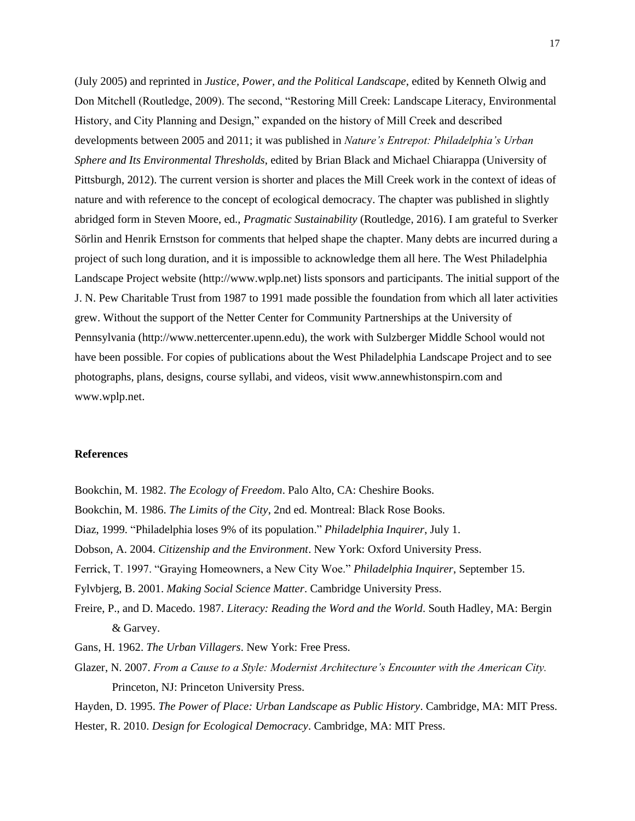(July 2005) and reprinted in *Justice, Power, and the Political Landscape*, edited by Kenneth Olwig and Don Mitchell (Routledge, 2009). The second, "Restoring Mill Creek: Landscape Literacy, Environmental History, and City Planning and Design," expanded on the history of Mill Creek and described developments between 2005 and 2011; it was published in *Nature's Entrepot: Philadelphia's Urban Sphere and Its Environmental Thresholds*, edited by Brian Black and Michael Chiarappa (University of Pittsburgh, 2012). The current version is shorter and places the Mill Creek work in the context of ideas of nature and with reference to the concept of ecological democracy. The chapter was published in slightly abridged form in Steven Moore, ed., *Pragmatic Sustainability* (Routledge, 2016). I am grateful to Sverker Sörlin and Henrik Ernstson for comments that helped shape the chapter. Many debts are incurred during a project of such long duration, and it is impossible to acknowledge them all here. The West Philadelphia Landscape Project website (http://www.wplp.net) lists sponsors and participants. The initial support of the J. N. Pew Charitable Trust from 1987 to 1991 made possible the foundation from which all later activities grew. Without the support of the Netter Center for Community Partnerships at the University of Pennsylvania (http://www.nettercenter.upenn.edu), the work with Sulzberger Middle School would not have been possible. For copies of publications about the West Philadelphia Landscape Project and to see photographs, plans, designs, course syllabi, and videos, visit www.annewhistonspirn.com and www.wplp.net.

#### **References**

Bookchin, M. 1982. *The Ecology of Freedom*. Palo Alto, CA: Cheshire Books. Bookchin, M. 1986. *The Limits of the City*, 2nd ed. Montreal: Black Rose Books. Diaz, 1999. "Philadelphia loses 9% of its population." *Philadelphia Inquirer*, July 1. Dobson, A. 2004. *Citizenship and the Environment*. New York: Oxford University Press. Ferrick, T. 1997. "Graying Homeowners, a New City Woe." *Philadelphia Inquirer*, September 15. Fylvbjerg, B. 2001. *Making Social Science Matter*. Cambridge University Press. Freire, P., and D. Macedo. 1987. *Literacy: Reading the Word and the World*. South Hadley, MA: Bergin & Garvey. Gans, H. 1962. *The Urban Villagers*. New York: Free Press. Glazer, N. 2007. *From a Cause to a Style: Modernist Architecture's Encounter with the American City.* Princeton, NJ: Princeton University Press. Hayden, D. 1995. *The Power of Place: Urban Landscape as Public History*. Cambridge, MA: MIT Press. Hester, R. 2010. *Design for Ecological Democracy*. Cambridge, MA: MIT Press.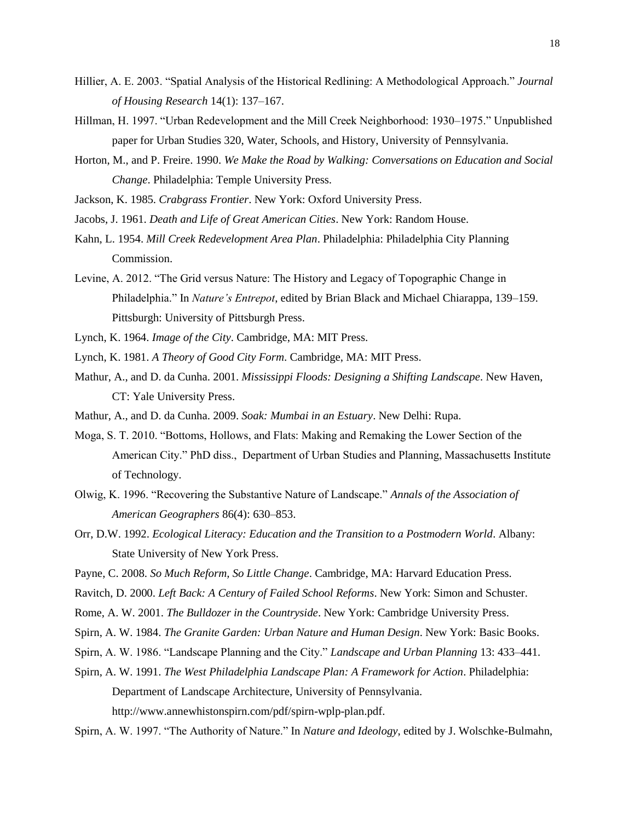- Hillier, A. E. 2003. "Spatial Analysis of the Historical Redlining: A Methodological Approach." *Journal of Housing Research* 14(1): 137–167.
- Hillman, H. 1997. "Urban Redevelopment and the Mill Creek Neighborhood: 1930–1975." Unpublished paper for Urban Studies 320, Water, Schools, and History, University of Pennsylvania.
- Horton, M., and P. Freire. 1990. *We Make the Road by Walking: Conversations on Education and Social Change*. Philadelphia: Temple University Press.
- Jackson, K. 1985. *Crabgrass Frontier*. New York: Oxford University Press.
- Jacobs, J. 1961. *Death and Life of Great American Cities*. New York: Random House.
- Kahn, L. 1954. *Mill Creek Redevelopment Area Plan*. Philadelphia: Philadelphia City Planning Commission.
- Levine, A. 2012. "The Grid versus Nature: The History and Legacy of Topographic Change in Philadelphia." In *Nature's Entrepot*, edited by Brian Black and Michael Chiarappa, 139–159. Pittsburgh: University of Pittsburgh Press.
- Lynch, K. 1964. *Image of the City*. Cambridge, MA: MIT Press.
- Lynch, K. 1981. *A Theory of Good City Form*. Cambridge, MA: MIT Press.
- Mathur, A., and D. da Cunha. 2001. *Mississippi Floods: Designing a Shifting Landscape*. New Haven, CT: Yale University Press.
- Mathur, A., and D. da Cunha. 2009. *Soak: Mumbai in an Estuary*. New Delhi: Rupa.
- Moga, S. T. 2010. "Bottoms, Hollows, and Flats: Making and Remaking the Lower Section of the American City." PhD diss., Department of Urban Studies and Planning, Massachusetts Institute of Technology.
- Olwig, K. 1996. "Recovering the Substantive Nature of Landscape." *Annals of the Association of American Geographers* 86(4): 630–853.
- Orr, D.W. 1992. *Ecological Literacy: Education and the Transition to a Postmodern World*. Albany: State University of New York Press.
- Payne, C. 2008. *So Much Reform, So Little Change*. Cambridge, MA: Harvard Education Press.
- Ravitch, D. 2000. *Left Back: A Century of Failed School Reforms*. New York: Simon and Schuster.
- Rome, A. W. 2001. *The Bulldozer in the Countryside*. New York: Cambridge University Press.
- Spirn, A. W. 1984. *The Granite Garden: Urban Nature and Human Design*. New York: Basic Books.
- Spirn, A. W. 1986. "Landscape Planning and the City." *Landscape and Urban Planning* 13: 433–441.
- Spirn, A. W. 1991. *The West Philadelphia Landscape Plan: A Framework for Action*. Philadelphia: Department of Landscape Architecture, University of Pennsylvania. http://www.annewhistonspirn.com/pdf/spirn-wplp-plan.pdf.

Spirn, A. W. 1997. "The Authority of Nature." In *Nature and Ideology*, edited by J. Wolschke-Bulmahn,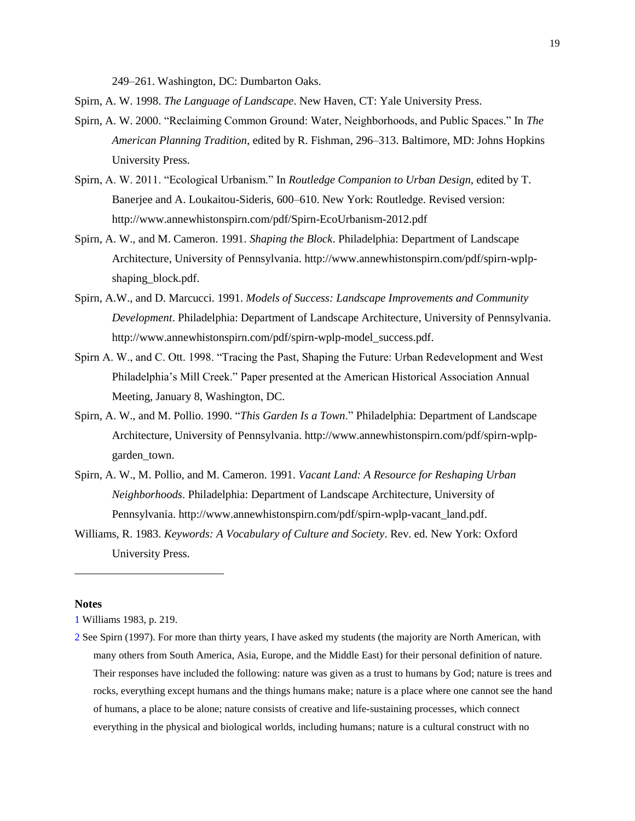249–261. Washington, DC: Dumbarton Oaks.

Spirn, A. W. 1998. *The Language of Landscape*. New Haven, CT: Yale University Press.

- Spirn, A. W. 2000. "Reclaiming Common Ground: Water, Neighborhoods, and Public Spaces." In *The American Planning Tradition*, edited by R. Fishman, 296–313. Baltimore, MD: Johns Hopkins University Press.
- Spirn, A. W. 2011. "Ecological Urbanism." In *Routledge Companion to Urban Design*, edited by T. Banerjee and A. Loukaitou-Sideris, 600–610. New York: Routledge. Revised version: http://www.annewhistonspirn.com/pdf/Spirn-EcoUrbanism-2012.pdf
- Spirn, A. W., and M. Cameron. 1991. *Shaping the Block*. Philadelphia: Department of Landscape Architecture, University of Pennsylvania. http://www.annewhistonspirn.com/pdf/spirn-wplpshaping block.pdf.
- Spirn, A.W., and D. Marcucci. 1991. *Models of Success: Landscape Improvements and Community Development*. Philadelphia: Department of Landscape Architecture, University of Pennsylvania. http://www.annewhistonspirn.com/pdf/spirn-wplp-model\_success.pdf.
- Spirn A. W., and C. Ott. 1998. "Tracing the Past, Shaping the Future: Urban Redevelopment and West Philadelphia's Mill Creek." Paper presented at the American Historical Association Annual Meeting, January 8, Washington, DC.
- Spirn, A. W., and M. Pollio. 1990. "*This Garden Is a Town*." Philadelphia: Department of Landscape Architecture, University of Pennsylvania. http://www.annewhistonspirn.com/pdf/spirn-wplpgarden\_town.
- Spirn, A. W., M. Pollio, and M. Cameron. 1991. *Vacant Land: A Resource for Reshaping Urban Neighborhoods*. Philadelphia: Department of Landscape Architecture, University of Pennsylvania. http://www.annewhistonspirn.com/pdf/spirn-wplp-vacant\_land.pdf.
- Williams, R. 1983. *Keywords: A Vocabulary of Culture and Society*. Rev. ed. New York: Oxford University Press.

## **Notes**

 $\overline{a}$ 

1 Williams 1983, p. 219.

2 See Spirn (1997). For more than thirty years, I have asked my students (the majority are North American, with many others from South America, Asia, Europe, and the Middle East) for their personal definition of nature. Their responses have included the following: nature was given as a trust to humans by God; nature is trees and rocks, everything except humans and the things humans make; nature is a place where one cannot see the hand of humans, a place to be alone; nature consists of creative and life-sustaining processes, which connect everything in the physical and biological worlds, including humans; nature is a cultural construct with no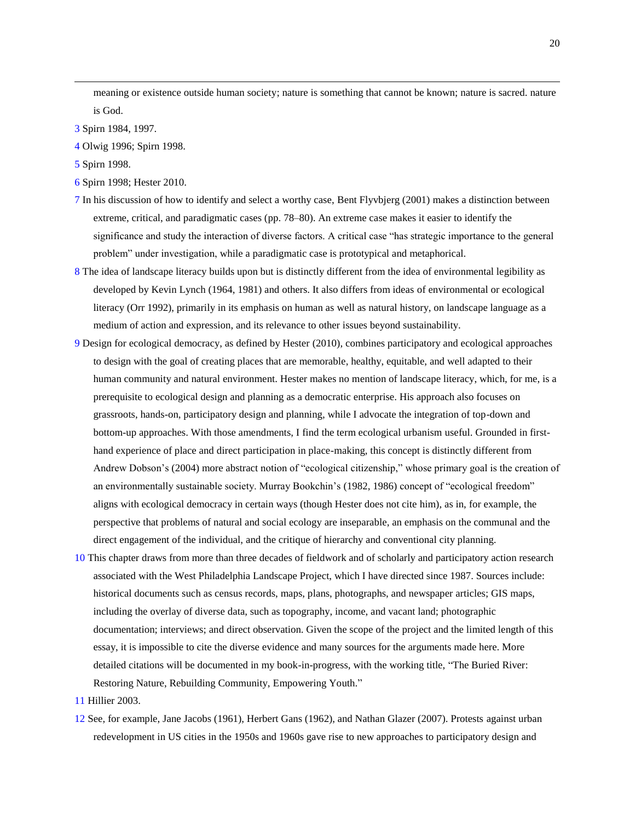meaning or existence outside human society; nature is something that cannot be known; nature is sacred. nature is God.

- 3 Spirn 1984, 1997.
- 4 Olwig 1996; Spirn 1998.
- 5 Spirn 1998.

 $\overline{a}$ 

- 6 Spirn 1998; Hester 2010.
- 7 In his discussion of how to identify and select a worthy case, Bent Flyvbjerg (2001) makes a distinction between extreme, critical, and paradigmatic cases (pp. 78–80). An extreme case makes it easier to identify the significance and study the interaction of diverse factors. A critical case "has strategic importance to the general problem" under investigation, while a paradigmatic case is prototypical and metaphorical.
- 8 The idea of landscape literacy builds upon but is distinctly different from the idea of environmental legibility as developed by Kevin Lynch (1964, 1981) and others. It also differs from ideas of environmental or ecological literacy (Orr 1992), primarily in its emphasis on human as well as natural history, on landscape language as a medium of action and expression, and its relevance to other issues beyond sustainability.
- 9 Design for ecological democracy, as defined by Hester (2010), combines participatory and ecological approaches to design with the goal of creating places that are memorable, healthy, equitable, and well adapted to their human community and natural environment. Hester makes no mention of landscape literacy, which, for me, is a prerequisite to ecological design and planning as a democratic enterprise. His approach also focuses on grassroots, hands-on, participatory design and planning, while I advocate the integration of top-down and bottom-up approaches. With those amendments, I find the term ecological urbanism useful. Grounded in firsthand experience of place and direct participation in place-making, this concept is distinctly different from Andrew Dobson's (2004) more abstract notion of "ecological citizenship," whose primary goal is the creation of an environmentally sustainable society. Murray Bookchin's (1982, 1986) concept of "ecological freedom" aligns with ecological democracy in certain ways (though Hester does not cite him), as in, for example, the perspective that problems of natural and social ecology are inseparable, an emphasis on the communal and the direct engagement of the individual, and the critique of hierarchy and conventional city planning.
- 10 This chapter draws from more than three decades of fieldwork and of scholarly and participatory action research associated with the West Philadelphia Landscape Project, which I have directed since 1987. Sources include: historical documents such as census records, maps, plans, photographs, and newspaper articles; GIS maps, including the overlay of diverse data, such as topography, income, and vacant land; photographic documentation; interviews; and direct observation. Given the scope of the project and the limited length of this essay, it is impossible to cite the diverse evidence and many sources for the arguments made here. More detailed citations will be documented in my book-in-progress, with the working title, "The Buried River: Restoring Nature, Rebuilding Community, Empowering Youth."

11 Hillier 2003.

12 See, for example, Jane Jacobs (1961), Herbert Gans (1962), and Nathan Glazer (2007). Protests against urban redevelopment in US cities in the 1950s and 1960s gave rise to new approaches to participatory design and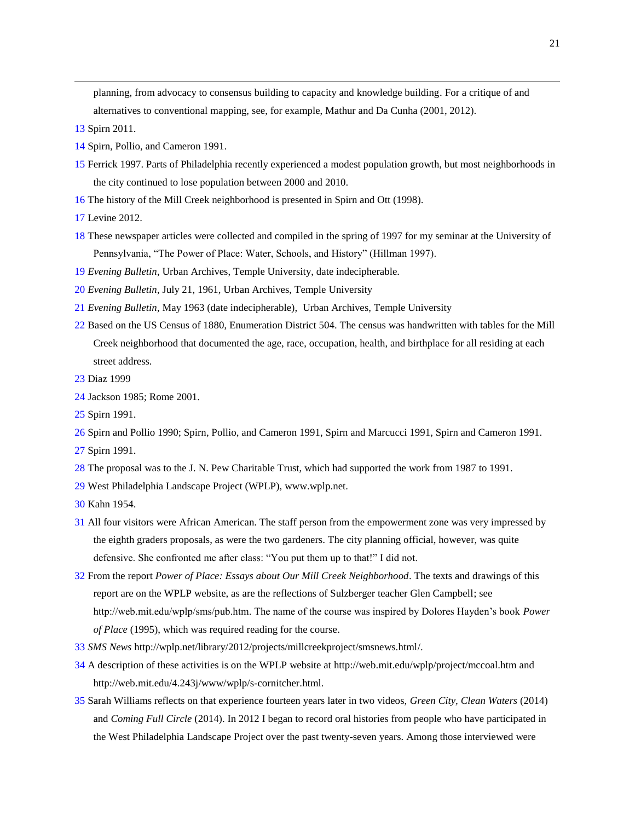planning, from advocacy to consensus building to capacity and knowledge building. For a critique of and alternatives to conventional mapping, see, for example, Mathur and Da Cunha (2001, 2012).

Spirn 2011.

 $\overline{a}$ 

- Spirn, Pollio, and Cameron 1991.
- Ferrick 1997. Parts of Philadelphia recently experienced a modest population growth, but most neighborhoods in the city continued to lose population between 2000 and 2010.
- The history of the Mill Creek neighborhood is presented in Spirn and Ott (1998).

Levine 2012.

- These newspaper articles were collected and compiled in the spring of 1997 for my seminar at the University of Pennsylvania, "The Power of Place: Water, Schools, and History" (Hillman 1997).
- *Evening Bulletin*, Urban Archives, Temple University, date indecipherable.
- *Evening Bulletin*, July 21, 1961, Urban Archives, Temple University
- *Evening Bulletin*, May 1963 (date indecipherable), Urban Archives, Temple University
- Based on the US Census of 1880, Enumeration District 504. The census was handwritten with tables for the Mill Creek neighborhood that documented the age, race, occupation, health, and birthplace for all residing at each street address.
- Diaz 1999
- Jackson 1985; Rome 2001.
- Spirn 1991.
- Spirn and Pollio 1990; Spirn, Pollio, and Cameron 1991, Spirn and Marcucci 1991, Spirn and Cameron 1991.
- Spirn 1991.
- The proposal was to the J. N. Pew Charitable Trust, which had supported the work from 1987 to 1991.
- West Philadelphia Landscape Project (WPLP), www.wplp.net.
- Kahn 1954.
- All four visitors were African American. The staff person from the empowerment zone was very impressed by the eighth graders proposals, as were the two gardeners. The city planning official, however, was quite defensive. She confronted me after class: "You put them up to that!" I did not.
- From the report *Power of Place: Essays about Our Mill Creek Neighborhood*. The texts and drawings of this report are on the WPLP website, as are the reflections of Sulzberger teacher Glen Campbell; see http://web.mit.edu/wplp/sms/pub.htm. The name of the course was inspired by Dolores Hayden's book *Power of Place* (1995), which was required reading for the course.
- *SMS News* http://wplp.net/library/2012/projects/millcreekproject/smsnews.html/.
- A description of these activities is on the WPLP website at http://web.mit.edu/wplp/project/mccoal.htm and http://web.mit.edu/4.243j/www/wplp/s-cornitcher.html.
- Sarah Williams reflects on that experience fourteen years later in two videos, *Green City, Clean Waters* (2014) and *Coming Full Circle* (2014). In 2012 I began to record oral histories from people who have participated in the West Philadelphia Landscape Project over the past twenty-seven years. Among those interviewed were